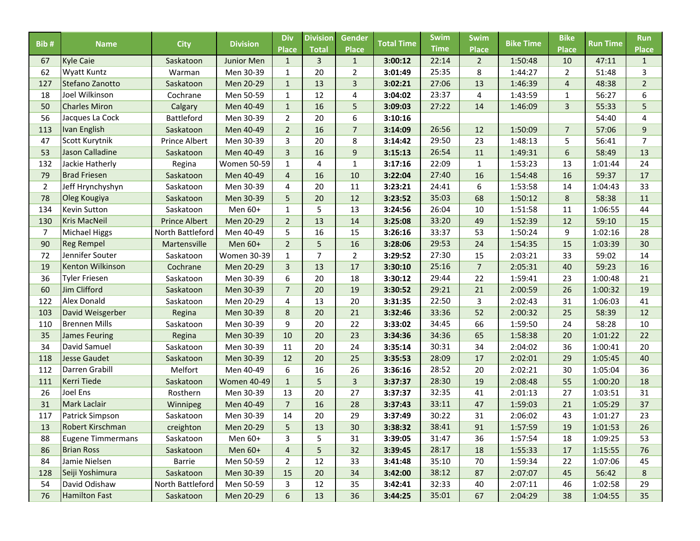| Bib#           | <b>Name</b>                            | <b>City</b>                       | <b>Division</b>         | <b>Div</b>                     | <b>Division</b> | Gender                         | <b>Total Time</b>  | <b>Swim</b>    | <b>Swim</b>         | <b>Bike Time</b>   | <b>Bike</b>    | <b>Run Time</b> | <b>Run</b>          |
|----------------|----------------------------------------|-----------------------------------|-------------------------|--------------------------------|-----------------|--------------------------------|--------------------|----------------|---------------------|--------------------|----------------|-----------------|---------------------|
|                |                                        |                                   |                         | <b>Place</b>                   | <b>Total</b>    | <b>Place</b>                   |                    | <b>Time</b>    | <b>Place</b>        |                    | <b>Place</b>   |                 | <b>Place</b>        |
| 67<br>62       | <b>Kyle Caie</b><br><b>Wyatt Kuntz</b> | Saskatoon<br>Warman               | Junior Men<br>Men 30-39 | $\mathbf{1}$                   | 3<br>20         | $\mathbf{1}$<br>$\overline{2}$ | 3:00:12<br>3:01:49 | 22:14<br>25:35 | $\overline{2}$<br>8 | 1:50:48<br>1:44:27 | 10<br>2        | 47:11<br>51:48  | $\mathbf{1}$<br>3   |
|                | Stefano Zanotto                        |                                   |                         | $\mathbf{1}$                   |                 |                                |                    | 27:06          |                     |                    | $\overline{4}$ |                 |                     |
| 127<br>18      | Joel Wilkinson                         | Saskatoon<br>Cochrane             | Men 20-29<br>Men 50-59  | $\mathbf{1}$<br>$\mathbf{1}$   | 13<br>12        | 3<br>4                         | 3:02:21<br>3:04:02 | 23:37          | 13<br>4             | 1:46:39<br>1:43:59 | $\mathbf{1}$   | 48:38<br>56:27  | $\overline{2}$<br>6 |
| 50             | <b>Charles Miron</b>                   |                                   |                         |                                | 16              | 5                              |                    | 27:22          |                     |                    | 3              |                 |                     |
| 56             | Jacques La Cock                        | Calgary<br>Battleford             | Men 40-49<br>Men 30-39  | $\mathbf{1}$<br>$\overline{2}$ | 20              | 6                              | 3:09:03<br>3:10:16 |                | 14                  | 1:46:09            |                | 55:33<br>54:40  | 5<br>$\overline{4}$ |
| 113            | <b>Ivan English</b>                    |                                   |                         | $\overline{2}$                 |                 |                                | 3:14:09            | 26:56          |                     |                    | $\overline{7}$ |                 | 9                   |
| 47             |                                        | Saskatoon<br><b>Prince Albert</b> | Men 40-49               |                                | 16              | $\overline{7}$                 |                    | 29:50          | 12<br>23            | 1:50:09<br>1:48:13 |                | 57:06           | $\overline{7}$      |
| 53             | Scott Kurytnik<br>Jason Calladine      |                                   | Men 30-39               | 3<br>$\overline{3}$            | 20<br>16        | 8                              | 3:14:42            | 26:54          | 11                  |                    | 5<br>6         | 56:41           | 13                  |
|                |                                        | Saskatoon                         | Men 40-49               |                                |                 | 9                              | 3:15:13            |                |                     | 1:49:31            |                | 58:49           |                     |
| 132            | Jackie Hatherly                        | Regina                            | <b>Women 50-59</b>      | $\mathbf{1}$                   | 4               | $\mathbf 1$                    | 3:17:16            | 22:09          | $\mathbf{1}$        | 1:53:23            | 13             | 1:01:44         | 24                  |
| 79             | <b>Brad Friesen</b>                    | Saskatoon                         | Men 40-49               | $\overline{4}$                 | 16              | 10                             | 3:22:04            | 27:40          | 16                  | 1:54:48            | 16             | 59:37           | 17                  |
| $\overline{2}$ | Jeff Hrynchyshyn                       | Saskatoon                         | Men 30-39               | 4                              | 20              | 11                             | 3:23:21            | 24:41          | 6                   | 1:53:58            | 14             | 1:04:43         | 33                  |
| 78             | Oleg Kougiya                           | Saskatoon                         | Men 30-39               | 5                              | 20              | 12                             | 3:23:52            | 35:03          | 68                  | 1:50:12            | 8              | 58:38           | 11                  |
| 134            | <b>Kevin Sutton</b>                    | Saskatoon                         | Men 60+                 | $\mathbf{1}$                   | 5               | 13                             | 3:24:56            | 26:04          | 10                  | 1:51:58            | 11             | 1:06:55         | 44                  |
| 130            | <b>Kris MacNeil</b>                    | <b>Prince Albert</b>              | Men 20-29               | $\overline{2}$                 | 13              | 14                             | 3:25:08            | 33:20          | 49                  | 1:52:39            | 12             | 59:10           | 15                  |
| 7              | <b>Michael Higgs</b>                   | North Battleford                  | Men 40-49               | 5                              | 16              | 15                             | 3:26:16            | 33:37          | 53                  | 1:50:24            | 9              | 1:02:16         | 28                  |
| 90             | <b>Reg Rempel</b>                      | Martensville                      | Men 60+                 | $\overline{2}$                 | 5               | 16                             | 3:28:06            | 29:53          | 24                  | 1:54:35            | 15             | 1:03:39         | 30                  |
| 72             | Jennifer Souter                        | Saskatoon                         | Women 30-39             | $\mathbf{1}$                   | $\overline{7}$  | $\overline{2}$                 | 3:29:52            | 27:30          | 15                  | 2:03:21            | 33             | 59:02           | 14                  |
| 19             | <b>Kenton Wilkinson</b>                | Cochrane                          | Men 20-29               | 3                              | 13              | 17                             | 3:30:10            | 25:16          | $\overline{7}$      | 2:05:31            | 40             | 59:23           | 16                  |
| 36             | <b>Tyler Friesen</b>                   | Saskatoon                         | Men 30-39               | 6                              | 20              | 18                             | 3:30:12            | 29:44          | 22                  | 1:59:41            | 23             | 1:00:48         | 21                  |
| 60             | Jim Clifford                           | Saskatoon                         | Men 30-39               | $\overline{7}$                 | 20              | 19                             | 3:30:52            | 29:21          | 21                  | 2:00:59            | 26             | 1:00:32         | 19                  |
| 122            | Alex Donald                            | Saskatoon                         | Men 20-29               | 4                              | 13              | 20                             | 3:31:35            | 22:50          | 3                   | 2:02:43            | 31             | 1:06:03         | 41                  |
| 103            | David Weisgerber                       | Regina                            | Men 30-39               | 8                              | 20              | 21                             | 3:32:46            | 33:36          | 52                  | 2:00:32            | 25             | 58:39           | 12                  |
| 110            | <b>Brennen Mills</b>                   | Saskatoon                         | Men 30-39               | 9                              | 20              | 22                             | 3:33:02            | 34:45          | 66                  | 1:59:50            | 24             | 58:28           | 10                  |
| 35             | <b>James Feuring</b>                   | Regina                            | Men 30-39               | 10                             | 20              | 23                             | 3:34:36            | 34:36          | 65                  | 1:58:38            | 20             | 1:01:22         | 22                  |
| 34             | David Samuel                           | Saskatoon                         | Men 30-39               | 11                             | 20              | 24                             | 3:35:14            | 30:31          | 34                  | 2:04:02            | 36             | 1:00:41         | 20                  |
| 118            | <b>Jesse Gaudet</b>                    | Saskatoon                         | Men 30-39               | 12                             | 20              | 25                             | 3:35:53            | 28:09          | 17                  | 2:02:01            | 29             | 1:05:45         | 40                  |
| 112            | Darren Grabill                         | Melfort                           | Men 40-49               | 6                              | 16              | 26                             | 3:36:16            | 28:52          | 20                  | 2:02:21            | 30             | 1:05:04         | 36                  |
| 111            | <b>Kerri Tiede</b>                     | Saskatoon                         | <b>Women 40-49</b>      | $\mathbf{1}$                   | 5               | 3                              | 3:37:37            | 28:30          | 19                  | 2:08:48            | 55             | 1:00:20         | 18                  |
| 26             | Joel Ens                               | Rosthern                          | Men 30-39               | 13                             | 20              | 27                             | 3:37:37            | 32:35          | 41                  | 2:01:13            | 27             | 1:03:51         | 31                  |
| 31             | <b>Mark Laclair</b>                    | Winnipeg                          | Men 40-49               | $\overline{7}$                 | 16              | 28                             | 3:37:43            | 33:11          | 47                  | 1:59:03            | 21             | 1:05:29         | 37                  |
| 117            | Patrick Simpson                        | Saskatoon                         | Men 30-39               | 14                             | 20              | 29                             | 3:37:49            | 30:22          | 31                  | 2:06:02            | 43             | 1:01:27         | 23                  |
| 13             | Robert Kirschman                       | creighton                         | Men 20-29               | 5                              | $13\,$          | $30\,$                         | 3:38:32            | 38:41          | 91                  | 1:57:59            | 19             | 1:01:53         | 26                  |
| 88             | Eugene Timmermans                      | Saskatoon                         | Men 60+                 | 3                              | 5               | 31                             | 3:39:05            | 31:47          | 36                  | 1:57:54            | 18             | 1:09:25         | 53                  |
| 86             | <b>Brian Ross</b>                      | Saskatoon                         | Men 60+                 | $\overline{a}$                 | 5               | 32                             | 3:39:45            | 28:17          | 18                  | 1:55:33            | 17             | 1:15:55         | 76                  |
| 84             | Jamie Nielsen                          | Barrie                            | Men 50-59               | $\overline{2}$                 | 12              | 33                             | 3:41:48            | 35:10          | 70                  | 1:59:34            | 22             | 1:07:06         | 45                  |
| 128            | Seiji Yoshimura                        | Saskatoon                         | Men 30-39               | 15                             | 20              | 34                             | 3:42:00            | 38:12          | 87                  | 2:07:07            | 45             | 56:42           | 8                   |
| 54             | David Odishaw                          | North Battleford                  | Men 50-59               | 3                              | 12              | 35                             | 3:42:41            | 32:33          | 40                  | 2:07:11            | 46             | 1:02:58         | 29                  |
| 76             | <b>Hamilton Fast</b>                   | Saskatoon                         | Men 20-29               | $\boldsymbol{6}$               | 13              | 36                             | 3:44:25            | 35:01          | 67                  | 2:04:29            | 38             | 1:04:55         | 35                  |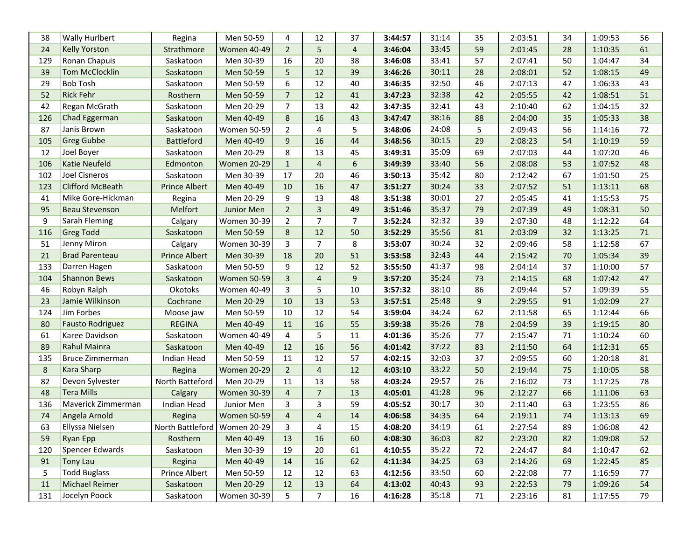| <b>Wally Hurlbert</b>   | Regina               | Men 50-59          | 4                            | 12             | 37             | 3:44:57 | 31:14 | 35 | 2:03:51 | 34 | 1:09:53 | 56 |
|-------------------------|----------------------|--------------------|------------------------------|----------------|----------------|---------|-------|----|---------|----|---------|----|
| <b>Kelly Yorston</b>    | Strathmore           | <b>Women 40-49</b> | $\overline{2}$               | 5              | $\overline{4}$ | 3:46:04 | 33:45 | 59 | 2:01:45 | 28 | 1:10:35 | 61 |
| Ronan Chapuis           | Saskatoon            | Men 30-39          | 16                           | 20             | 38             | 3:46:08 | 33:41 | 57 | 2:07:41 | 50 | 1:04:47 | 34 |
| <b>Tom McClocklin</b>   | Saskatoon            | Men 50-59          | 5                            | 12             | 39             | 3:46:26 | 30:11 | 28 | 2:08:01 | 52 | 1:08:15 | 49 |
| <b>Bob Tosh</b>         | Saskatoon            | Men 50-59          | 6                            | 12             | 40             | 3:46:35 | 32:50 | 46 | 2:07:13 | 47 | 1:06:33 | 43 |
| <b>Rick Fehr</b>        | Rosthern             | Men 50-59          | $\overline{7}$               | 12             | 41             | 3:47:23 | 32:38 | 42 | 2:05:55 | 42 | 1:08:51 | 51 |
| Regan McGrath           | Saskatoon            | Men 20-29          | $\overline{7}$               | 13             | 42             | 3:47:35 | 32:41 | 43 | 2:10:40 | 62 | 1:04:15 | 32 |
| Chad Eggerman           | Saskatoon            | Men 40-49          | 8                            | 16             | 43             | 3:47:47 | 38:16 | 88 | 2:04:00 | 35 | 1:05:33 | 38 |
| Janis Brown             | Saskatoon            | <b>Women 50-59</b> | 2                            | 4              | 5              | 3:48:06 | 24:08 | 5  | 2:09:43 | 56 | 1:14:16 | 72 |
| <b>Greg Gubbe</b>       | <b>Battleford</b>    | Men 40-49          | 9                            | 16             | 44             | 3:48:56 | 30:15 | 29 | 2:08:23 | 54 | 1:10:19 | 59 |
| Joel Boyer              | Saskatoon            | Men 20-29          | 8                            | 13             | 45             | 3:49:31 | 35:09 | 69 | 2:07:03 | 44 | 1:07:20 | 46 |
| <b>Katie Neufeld</b>    | Edmonton             | <b>Women 20-29</b> | $\mathbf{1}$                 | $\overline{4}$ | $\sqrt{6}$     | 3:49:39 | 33:40 | 56 | 2:08:08 | 53 | 1:07:52 | 48 |
| <b>Joel Cisneros</b>    | Saskatoon            | Men 30-39          | 17                           | 20             | 46             | 3:50:13 | 35:42 | 80 | 2:12:42 | 67 | 1:01:50 | 25 |
| <b>Clifford McBeath</b> | <b>Prince Albert</b> | Men 40-49          | 10                           | 16             | 47             | 3:51:27 | 30:24 | 33 | 2:07:52 | 51 | 1:13:11 | 68 |
| Mike Gore-Hickman       | Regina               | Men 20-29          | 9                            | 13             | 48             | 3:51:38 | 30:01 | 27 | 2:05:45 | 41 | 1:15:53 | 75 |
| <b>Beau Stevenson</b>   | Melfort              | Junior Men         | $\overline{2}$               | 3              | 49             | 3:51:46 | 35:37 | 79 | 2:07:39 | 49 | 1:08:31 | 50 |
| Sarah Fleming           | Calgary              | Women 30-39        | 2                            | $\overline{7}$ | $\overline{7}$ | 3:52:24 | 32:32 | 39 | 2:07:30 | 48 | 1:12:22 | 64 |
| <b>Greg Todd</b>        | Saskatoon            | Men 50-59          | 8                            | 12             | 50             | 3:52:29 | 35:56 | 81 | 2:03:09 | 32 | 1:13:25 | 71 |
| Jenny Miron             | Calgary              | Women 30-39        | 3                            | $\overline{7}$ | 8              | 3:53:07 | 30:24 | 32 | 2:09:46 | 58 | 1:12:58 | 67 |
| <b>Brad Parenteau</b>   | <b>Prince Albert</b> | Men 30-39          | 18                           | 20             | 51             | 3:53:58 | 32:43 | 44 | 2:15:42 | 70 | 1:05:34 | 39 |
| Darren Hagen            | Saskatoon            | Men 50-59          | 9                            | 12             | 52             | 3:55:50 | 41:37 | 98 | 2:04:14 | 37 | 1:10:00 | 57 |
| <b>Shannon Bews</b>     | Saskatoon            | <b>Women 50-59</b> | 3                            | $\overline{4}$ | 9              | 3:57:20 | 35:24 | 73 | 2:14:15 | 68 | 1:07:42 | 47 |
| Robyn Ralph             | Okotoks              | <b>Women 40-49</b> | 3                            | 5              | 10             | 3:57:32 | 38:10 | 86 | 2:09:44 | 57 | 1:09:39 | 55 |
| Jamie Wilkinson         | Cochrane             | Men 20-29          | 10                           | 13             | 53             | 3:57:51 | 25:48 | 9  | 2:29:55 | 91 | 1:02:09 | 27 |
| Jim Forbes              | Moose jaw            | Men 50-59          | 10                           | 12             | 54             | 3:59:04 | 34:24 | 62 | 2:11:58 | 65 | 1:12:44 | 66 |
| <b>Fausto Rodriguez</b> | <b>REGINA</b>        | Men 40-49          | 11                           | 16             | 55             | 3:59:38 | 35:26 | 78 | 2:04:59 | 39 | 1:19:15 | 80 |
| Karee Davidson          | Saskatoon            | <b>Women 40-49</b> | 4                            | 5              | 11             | 4:01:36 | 35:26 | 77 | 2:15:47 | 71 | 1:10:24 | 60 |
| <b>Rahul Mainra</b>     | Saskatoon            | Men 40-49          | 12                           | 16             | 56             | 4:01:42 | 37:22 | 83 | 2:11:50 | 64 | 1:12:31 | 65 |
| Bruce Zimmerman         | Indian Head          | Men 50-59          | 11                           | 12             | 57             | 4:02:15 | 32:03 | 37 | 2:09:55 | 60 | 1:20:18 | 81 |
| <b>Kara Sharp</b>       | Regina               | <b>Women 20-29</b> | $\overline{2}$               | $\overline{4}$ | 12             | 4:03:10 | 33:22 | 50 | 2:19:44 | 75 | 1:10:05 | 58 |
| Devon Sylvester         | North Batteford      | Men 20-29          | 11                           | 13             | 58             | 4:03:24 | 29:57 | 26 | 2:16:02 | 73 | 1:17:25 | 78 |
| <b>Tera Mills</b>       | Calgary              | <b>Women 30-39</b> | $\overline{4}$               | $\overline{7}$ | 13             | 4:05:01 | 41:28 | 96 | 2:12:27 | 66 | 1:11:06 | 63 |
| Maverick Zimmerman      | Indian Head          | Junior Men         | 3                            | 3              | 59             | 4:05:52 | 30:17 | 30 | 2:11:40 | 63 | 1:23:55 | 86 |
| Angela Arnold           | Regina               | <b>Women 50-59</b> | $\overline{4}$               | $\overline{4}$ | 14             | 4:06:58 | 34:35 | 64 | 2:19:11 | 74 | 1:13:13 | 69 |
| Ellyssa Nielsen         |                      |                    | 3                            | 4              | 15             | 4:08:20 | 34:19 | 61 | 2:27:54 | 89 | 1:06:08 | 42 |
| <b>Ryan Epp</b>         | Rosthern             | Men 40-49          | 13                           | 16             | 60             | 4:08:30 | 36:03 | 82 | 2:23:20 | 82 | 1:09:08 | 52 |
| <b>Spencer Edwards</b>  | Saskatoon            | Men 30-39          | 19                           | 20             | 61             | 4:10:55 | 35:22 | 72 | 2:24:47 | 84 | 1:10:47 | 62 |
| <b>Tony Lau</b>         | Regina               | Men 40-49          | 14                           | 16             | 62             | 4:11:34 | 34:25 | 63 | 2:14:26 | 69 | 1:22:45 | 85 |
| <b>Todd Buglass</b>     | Prince Albert        | Men 50-59          | 12                           | 12             | 63             | 4:12:56 | 33:50 | 60 | 2:22:08 | 77 | 1:16:59 | 77 |
| Michael Reimer          | Saskatoon            | Men 20-29          | 12                           | 13             | 64             | 4:13:02 | 40:43 | 93 | 2:22:53 | 79 | 1:09:26 | 54 |
| Jocelyn Poock           | Saskatoon            | Women 30-39        | 5                            | $\overline{7}$ | 16             | 4:16:28 | 35:18 | 71 | 2:23:16 | 81 | 1:17:55 | 79 |
|                         |                      |                    | North Battleford Women 20-29 |                |                |         |       |    |         |    |         |    |